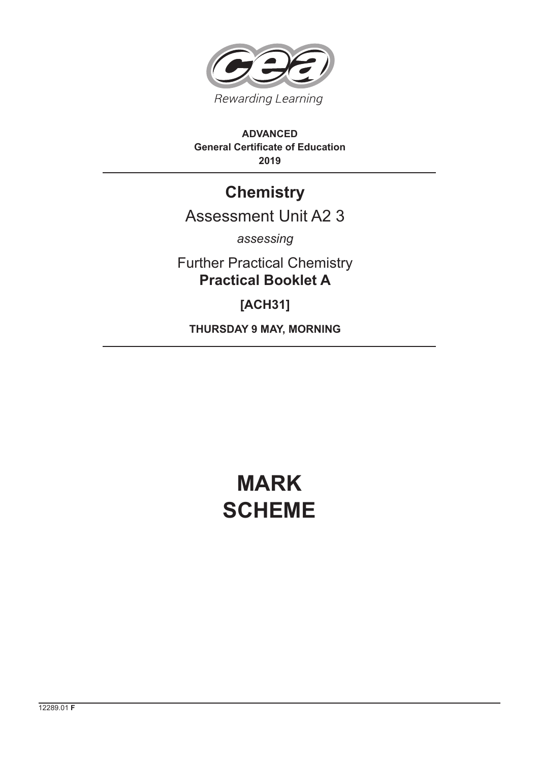

## **ADVANCED General Certificate of Education 2019**

## **Chemistry**

## Assessment Unit A2 3

*assessing*

Further Practical Chemistry **Practical Booklet A**

**[ACH31]**

**THURSDAY 9 MAY, MORNING**

## **MARK SCHEME**